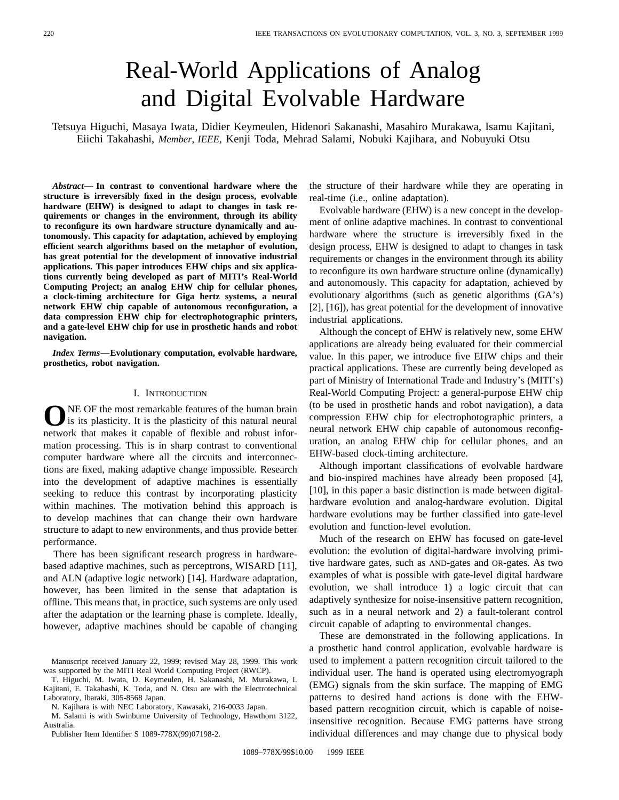# Real-World Applications of Analog and Digital Evolvable Hardware

Tetsuya Higuchi, Masaya Iwata, Didier Keymeulen, Hidenori Sakanashi, Masahiro Murakawa, Isamu Kajitani, Eiichi Takahashi, *Member, IEEE,* Kenji Toda, Mehrad Salami, Nobuki Kajihara, and Nobuyuki Otsu

*Abstract—* **In contrast to conventional hardware where the structure is irreversibly fixed in the design process, evolvable hardware (EHW) is designed to adapt to changes in task requirements or changes in the environment, through its ability to reconfigure its own hardware structure dynamically and autonomously. This capacity for adaptation, achieved by employing efficient search algorithms based on the metaphor of evolution, has great potential for the development of innovative industrial applications. This paper introduces EHW chips and six applications currently being developed as part of MITI's Real-World Computing Project; an analog EHW chip for cellular phones, a clock-timing architecture for Giga hertz systems, a neural network EHW chip capable of autonomous reconfiguration, a data compression EHW chip for electrophotographic printers, and a gate-level EHW chip for use in prosthetic hands and robot navigation.**

*Index Terms—***Evolutionary computation, evolvable hardware, prosthetics, robot navigation.**

### I. INTRODUCTION

**O**NE OF the most remarkable features of the human brain<br>is its plasticity. It is the plasticity of this natural neural<br>network that makes it sonable of flavible and nebust information network that makes it capable of flexible and robust information processing. This is in sharp contrast to conventional computer hardware where all the circuits and interconnections are fixed, making adaptive change impossible. Research into the development of adaptive machines is essentially seeking to reduce this contrast by incorporating plasticity within machines. The motivation behind this approach is to develop machines that can change their own hardware structure to adapt to new environments, and thus provide better performance.

There has been significant research progress in hardwarebased adaptive machines, such as perceptrons, WISARD [11], and ALN (adaptive logic network) [14]. Hardware adaptation, however, has been limited in the sense that adaptation is offline. This means that, in practice, such systems are only used after the adaptation or the learning phase is complete. Ideally, however, adaptive machines should be capable of changing

T. Higuchi, M. Iwata, D. Keymeulen, H. Sakanashi, M. Murakawa, I. Kajitani, E. Takahashi, K. Toda, and N. Otsu are with the Electrotechnical Laboratory, Ibaraki, 305-8568 Japan.

M. Salami is with Swinburne University of Technology, Hawthorn 3122, Australia.

Publisher Item Identifier S 1089-778X(99)07198-2.

the structure of their hardware while they are operating in real-time (i.e., online adaptation).

Evolvable hardware (EHW) is a new concept in the development of online adaptive machines. In contrast to conventional hardware where the structure is irreversibly fixed in the design process, EHW is designed to adapt to changes in task requirements or changes in the environment through its ability to reconfigure its own hardware structure online (dynamically) and autonomously. This capacity for adaptation, achieved by evolutionary algorithms (such as genetic algorithms (GA's) [2], [16]), has great potential for the development of innovative industrial applications.

Although the concept of EHW is relatively new, some EHW applications are already being evaluated for their commercial value. In this paper, we introduce five EHW chips and their practical applications. These are currently being developed as part of Ministry of International Trade and Industry's (MITI's) Real-World Computing Project: a general-purpose EHW chip (to be used in prosthetic hands and robot navigation), a data compression EHW chip for electrophotographic printers, a neural network EHW chip capable of autonomous reconfiguration, an analog EHW chip for cellular phones, and an EHW-based clock-timing architecture.

Although important classifications of evolvable hardware and bio-inspired machines have already been proposed [4], [10], in this paper a basic distinction is made between digitalhardware evolution and analog-hardware evolution. Digital hardware evolutions may be further classified into gate-level evolution and function-level evolution.

Much of the research on EHW has focused on gate-level evolution: the evolution of digital-hardware involving primitive hardware gates, such as AND-gates and OR-gates. As two examples of what is possible with gate-level digital hardware evolution, we shall introduce 1) a logic circuit that can adaptively synthesize for noise-insensitive pattern recognition, such as in a neural network and 2) a fault-tolerant control circuit capable of adapting to environmental changes.

These are demonstrated in the following applications. In a prosthetic hand control application, evolvable hardware is used to implement a pattern recognition circuit tailored to the individual user. The hand is operated using electromyograph (EMG) signals from the skin surface. The mapping of EMG patterns to desired hand actions is done with the EHWbased pattern recognition circuit, which is capable of noiseinsensitive recognition. Because EMG patterns have strong individual differences and may change due to physical body

Manuscript received January 22, 1999; revised May 28, 1999. This work was supported by the MITI Real World Computing Project (RWCP).

N. Kajihara is with NEC Laboratory, Kawasaki, 216-0033 Japan.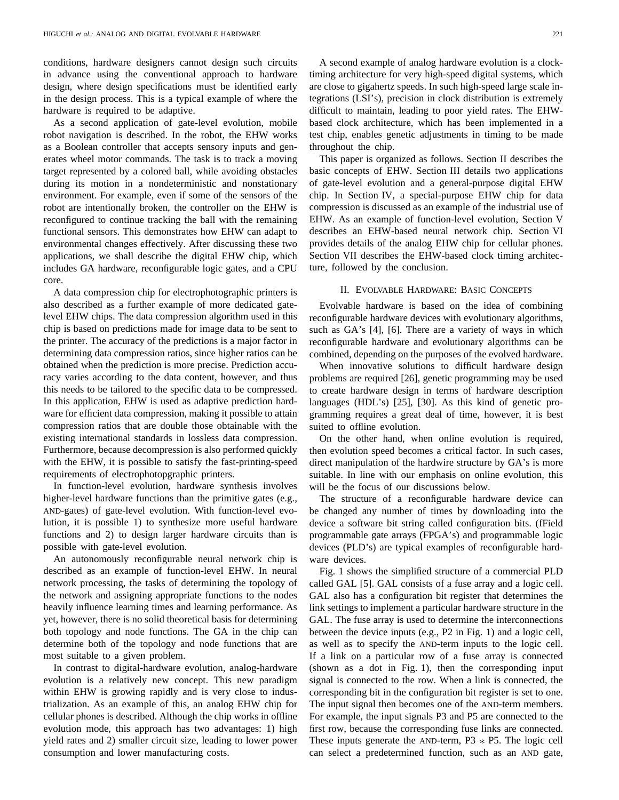conditions, hardware designers cannot design such circuits in advance using the conventional approach to hardware design, where design specifications must be identified early in the design process. This is a typical example of where the hardware is required to be adaptive.

As a second application of gate-level evolution, mobile robot navigation is described. In the robot, the EHW works as a Boolean controller that accepts sensory inputs and generates wheel motor commands. The task is to track a moving target represented by a colored ball, while avoiding obstacles during its motion in a nondeterministic and nonstationary environment. For example, even if some of the sensors of the robot are intentionally broken, the controller on the EHW is reconfigured to continue tracking the ball with the remaining functional sensors. This demonstrates how EHW can adapt to environmental changes effectively. After discussing these two applications, we shall describe the digital EHW chip, which includes GA hardware, reconfigurable logic gates, and a CPU core.

A data compression chip for electrophotographic printers is also described as a further example of more dedicated gatelevel EHW chips. The data compression algorithm used in this chip is based on predictions made for image data to be sent to the printer. The accuracy of the predictions is a major factor in determining data compression ratios, since higher ratios can be obtained when the prediction is more precise. Prediction accuracy varies according to the data content, however, and thus this needs to be tailored to the specific data to be compressed. In this application, EHW is used as adaptive prediction hardware for efficient data compression, making it possible to attain compression ratios that are double those obtainable with the existing international standards in lossless data compression. Furthermore, because decompression is also performed quickly with the EHW, it is possible to satisfy the fast-printing-speed requirements of electrophotopgraphic printers.

In function-level evolution, hardware synthesis involves higher-level hardware functions than the primitive gates (e.g., AND-gates) of gate-level evolution. With function-level evolution, it is possible 1) to synthesize more useful hardware functions and 2) to design larger hardware circuits than is possible with gate-level evolution.

An autonomously reconfigurable neural network chip is described as an example of function-level EHW. In neural network processing, the tasks of determining the topology of the network and assigning appropriate functions to the nodes heavily influence learning times and learning performance. As yet, however, there is no solid theoretical basis for determining both topology and node functions. The GA in the chip can determine both of the topology and node functions that are most suitable to a given problem.

In contrast to digital-hardware evolution, analog-hardware evolution is a relatively new concept. This new paradigm within EHW is growing rapidly and is very close to industrialization. As an example of this, an analog EHW chip for cellular phones is described. Although the chip works in offline evolution mode, this approach has two advantages: 1) high yield rates and 2) smaller circuit size, leading to lower power consumption and lower manufacturing costs.

A second example of analog hardware evolution is a clocktiming architecture for very high-speed digital systems, which are close to gigahertz speeds. In such high-speed large scale integrations (LSI's), precision in clock distribution is extremely difficult to maintain, leading to poor yield rates. The EHWbased clock architecture, which has been implemented in a test chip, enables genetic adjustments in timing to be made throughout the chip.

This paper is organized as follows. Section II describes the basic concepts of EHW. Section III details two applications of gate-level evolution and a general-purpose digital EHW chip. In Section IV, a special-purpose EHW chip for data compression is discussed as an example of the industrial use of EHW. As an example of function-level evolution, Section V describes an EHW-based neural network chip. Section VI provides details of the analog EHW chip for cellular phones. Section VII describes the EHW-based clock timing architecture, followed by the conclusion.

# II. EVOLVABLE HARDWARE: BASIC CONCEPTS

Evolvable hardware is based on the idea of combining reconfigurable hardware devices with evolutionary algorithms, such as GA's [4], [6]. There are a variety of ways in which reconfigurable hardware and evolutionary algorithms can be combined, depending on the purposes of the evolved hardware.

When innovative solutions to difficult hardware design problems are required [26], genetic programming may be used to create hardware design in terms of hardware description languages (HDL's) [25], [30]. As this kind of genetic programming requires a great deal of time, however, it is best suited to offline evolution.

On the other hand, when online evolution is required, then evolution speed becomes a critical factor. In such cases, direct manipulation of the hardwire structure by GA's is more suitable. In line with our emphasis on online evolution, this will be the focus of our discussions below.

The structure of a reconfigurable hardware device can be changed any number of times by downloading into the device a software bit string called configuration bits. (fField programmable gate arrays (FPGA's) and programmable logic devices (PLD's) are typical examples of reconfigurable hardware devices.

Fig. 1 shows the simplified structure of a commercial PLD called GAL [5]. GAL consists of a fuse array and a logic cell. GAL also has a configuration bit register that determines the link settings to implement a particular hardware structure in the GAL. The fuse array is used to determine the interconnections between the device inputs (e.g., P2 in Fig. 1) and a logic cell, as well as to specify the AND-term inputs to the logic cell. If a link on a particular row of a fuse array is connected (shown as a dot in Fig. 1), then the corresponding input signal is connected to the row. When a link is connected, the corresponding bit in the configuration bit register is set to one. The input signal then becomes one of the AND-term members. For example, the input signals P3 and P5 are connected to the first row, because the corresponding fuse links are connected. These inputs generate the AND-term,  $P3 \times P5$ . The logic cell can select a predetermined function, such as an AND gate,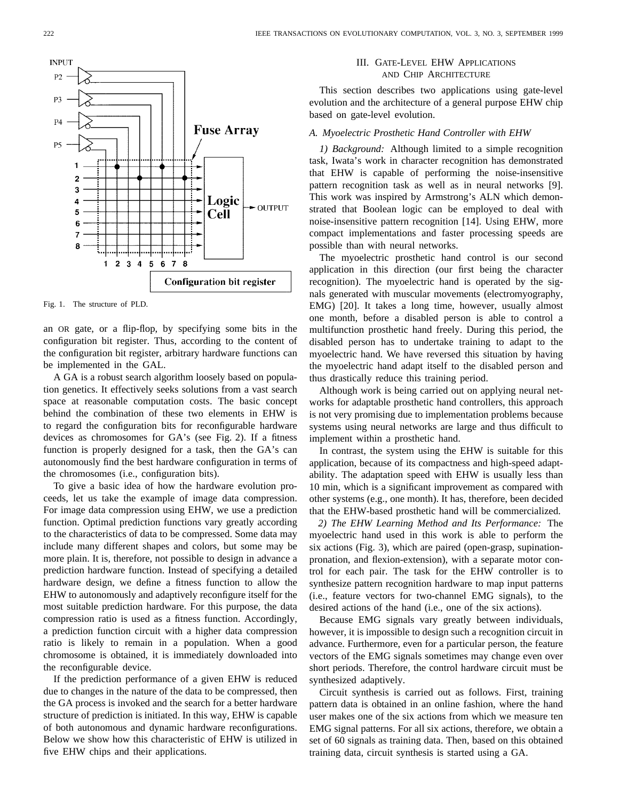

Fig. 1. The structure of PLD.

an OR gate, or a flip-flop, by specifying some bits in the configuration bit register. Thus, according to the content of the configuration bit register, arbitrary hardware functions can be implemented in the GAL.

A GA is a robust search algorithm loosely based on population genetics. It effectively seeks solutions from a vast search space at reasonable computation costs. The basic concept behind the combination of these two elements in EHW is to regard the configuration bits for reconfigurable hardware devices as chromosomes for GA's (see Fig. 2). If a fitness function is properly designed for a task, then the GA's can autonomously find the best hardware configuration in terms of the chromosomes (i.e., configuration bits).

To give a basic idea of how the hardware evolution proceeds, let us take the example of image data compression. For image data compression using EHW, we use a prediction function. Optimal prediction functions vary greatly according to the characteristics of data to be compressed. Some data may include many different shapes and colors, but some may be more plain. It is, therefore, not possible to design in advance a prediction hardware function. Instead of specifying a detailed hardware design, we define a fitness function to allow the EHW to autonomously and adaptively reconfigure itself for the most suitable prediction hardware. For this purpose, the data compression ratio is used as a fitness function. Accordingly, a prediction function circuit with a higher data compression ratio is likely to remain in a population. When a good chromosome is obtained, it is immediately downloaded into the reconfigurable device.

If the prediction performance of a given EHW is reduced due to changes in the nature of the data to be compressed, then the GA process is invoked and the search for a better hardware structure of prediction is initiated. In this way, EHW is capable of both autonomous and dynamic hardware reconfigurations. Below we show how this characteristic of EHW is utilized in five EHW chips and their applications.

# III. GATE-LEVEL EHW APPLICATIONS AND CHIP ARCHITECTURE

This section describes two applications using gate-level evolution and the architecture of a general purpose EHW chip based on gate-level evolution.

## *A. Myoelectric Prosthetic Hand Controller with EHW*

*1) Background:* Although limited to a simple recognition task, Iwata's work in character recognition has demonstrated that EHW is capable of performing the noise-insensitive pattern recognition task as well as in neural networks [9]. This work was inspired by Armstrong's ALN which demonstrated that Boolean logic can be employed to deal with noise-insensitive pattern recognition [14]. Using EHW, more compact implementations and faster processing speeds are possible than with neural networks.

The myoelectric prosthetic hand control is our second application in this direction (our first being the character recognition). The myoelectric hand is operated by the signals generated with muscular movements (electromyography, EMG) [20]. It takes a long time, however, usually almost one month, before a disabled person is able to control a multifunction prosthetic hand freely. During this period, the disabled person has to undertake training to adapt to the myoelectric hand. We have reversed this situation by having the myoelectric hand adapt itself to the disabled person and thus drastically reduce this training period.

Although work is being carried out on applying neural networks for adaptable prosthetic hand controllers, this approach is not very promising due to implementation problems because systems using neural networks are large and thus difficult to implement within a prosthetic hand.

In contrast, the system using the EHW is suitable for this application, because of its compactness and high-speed adaptability. The adaptation speed with EHW is usually less than 10 min, which is a significant improvement as compared with other systems (e.g., one month). It has, therefore, been decided that the EHW-based prosthetic hand will be commercialized.

*2) The EHW Learning Method and Its Performance:* The myoelectric hand used in this work is able to perform the six actions (Fig. 3), which are paired (open-grasp, supinationpronation, and flexion-extension), with a separate motor control for each pair. The task for the EHW controller is to synthesize pattern recognition hardware to map input patterns (i.e., feature vectors for two-channel EMG signals), to the desired actions of the hand (i.e., one of the six actions).

Because EMG signals vary greatly between individuals, however, it is impossible to design such a recognition circuit in advance. Furthermore, even for a particular person, the feature vectors of the EMG signals sometimes may change even over short periods. Therefore, the control hardware circuit must be synthesized adaptively.

Circuit synthesis is carried out as follows. First, training pattern data is obtained in an online fashion, where the hand user makes one of the six actions from which we measure ten EMG signal patterns. For all six actions, therefore, we obtain a set of 60 signals as training data. Then, based on this obtained training data, circuit synthesis is started using a GA.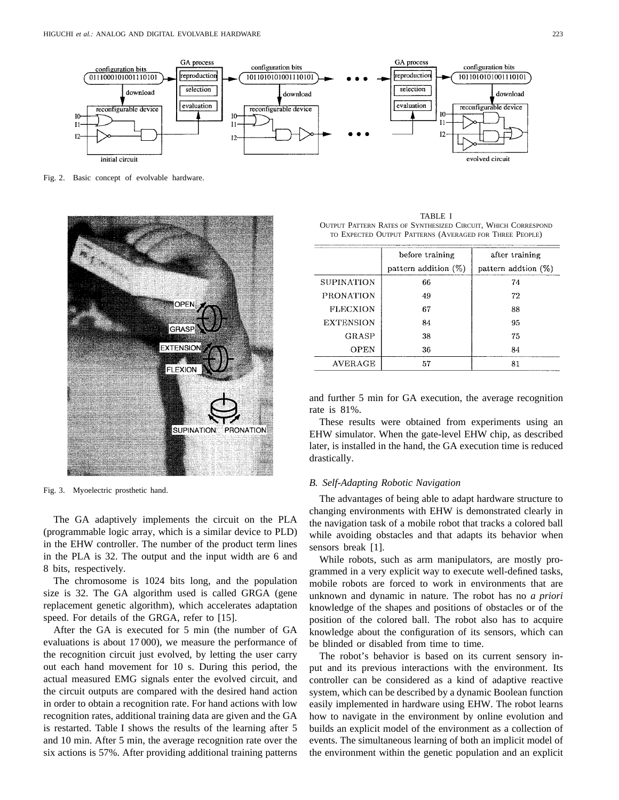

Fig. 2. Basic concept of evolvable hardware.



Fig. 3. Myoelectric prosthetic hand.

The GA adaptively implements the circuit on the PLA (programmable logic array, which is a similar device to PLD) in the EHW controller. The number of the product term lines in the PLA is 32. The output and the input width are 6 and 8 bits, respectively.

The chromosome is 1024 bits long, and the population size is 32. The GA algorithm used is called GRGA (gene replacement genetic algorithm), which accelerates adaptation speed. For details of the GRGA, refer to [15].

After the GA is executed for 5 min (the number of GA evaluations is about 17 000), we measure the performance of the recognition circuit just evolved, by letting the user carry out each hand movement for 10 s. During this period, the actual measured EMG signals enter the evolved circuit, and the circuit outputs are compared with the desired hand action in order to obtain a recognition rate. For hand actions with low recognition rates, additional training data are given and the GA is restarted. Table I shows the results of the learning after 5 and 10 min. After 5 min, the average recognition rate over the six actions is 57%. After providing additional training patterns

TABLE I OUTPUT PATTERN RATES OF SYNTHESIZED CIRCUIT, WHICH CORRESPOND TO EXPECTED OUTPUT PATTERNS (AVERAGED FOR THREE PEOPLE)

|                   | before training         | after training      |
|-------------------|-------------------------|---------------------|
|                   | pattern addition $(\%)$ | pattern addtion (%) |
| <b>SUPINATION</b> | 66                      | 74                  |
| <b>PRONATION</b>  | 49                      | 72                  |
| <b>FLECXION</b>   | 67                      | 88                  |
| <b>EXTENSION</b>  | 84                      | 95                  |
| GRASP             | 38                      | 75                  |
| OPEN              | 36                      | 84                  |
| AVERAGE           | 57                      | 81                  |

and further 5 min for GA execution, the average recognition rate is 81%.

These results were obtained from experiments using an EHW simulator. When the gate-level EHW chip, as described later, is installed in the hand, the GA execution time is reduced drastically.

## *B. Self-Adapting Robotic Navigation*

The advantages of being able to adapt hardware structure to changing environments with EHW is demonstrated clearly in the navigation task of a mobile robot that tracks a colored ball while avoiding obstacles and that adapts its behavior when sensors break [1].

While robots, such as arm manipulators, are mostly programmed in a very explicit way to execute well-defined tasks, mobile robots are forced to work in environments that are unknown and dynamic in nature. The robot has no *a priori* knowledge of the shapes and positions of obstacles or of the position of the colored ball. The robot also has to acquire knowledge about the configuration of its sensors, which can be blinded or disabled from time to time.

The robot's behavior is based on its current sensory input and its previous interactions with the environment. Its controller can be considered as a kind of adaptive reactive system, which can be described by a dynamic Boolean function easily implemented in hardware using EHW. The robot learns how to navigate in the environment by online evolution and builds an explicit model of the environment as a collection of events. The simultaneous learning of both an implicit model of the environment within the genetic population and an explicit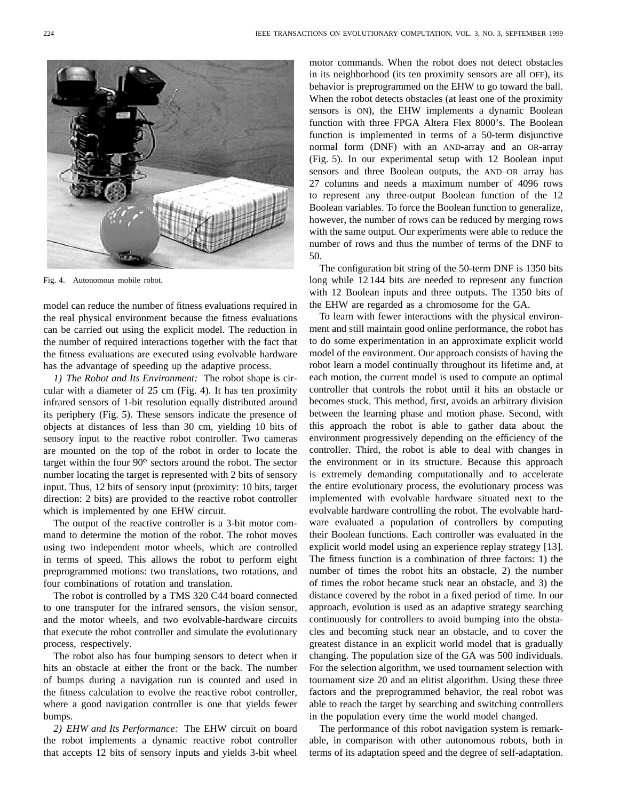

Fig. 4. Autonomous mobile robot.

model can reduce the number of fitness evaluations required in the real physical environment because the fitness evaluations can be carried out using the explicit model. The reduction in the number of required interactions together with the fact that the fitness evaluations are executed using evolvable hardware has the advantage of speeding up the adaptive process.

*1) The Robot and Its Environment:* The robot shape is circular with a diameter of 25 cm (Fig. 4). It has ten proximity infrared sensors of 1-bit resolution equally distributed around its periphery (Fig. 5). These sensors indicate the presence of objects at distances of less than 30 cm, yielding 10 bits of sensory input to the reactive robot controller. Two cameras are mounted on the top of the robot in order to locate the target within the four  $90^\circ$  sectors around the robot. The sector number locating the target is represented with 2 bits of sensory input. Thus, 12 bits of sensory input (proximity: 10 bits, target direction: 2 bits) are provided to the reactive robot controller which is implemented by one EHW circuit.

The output of the reactive controller is a 3-bit motor command to determine the motion of the robot. The robot moves using two independent motor wheels, which are controlled in terms of speed. This allows the robot to perform eight preprogrammed motions: two translations, two rotations, and four combinations of rotation and translation.

The robot is controlled by a TMS 320 C44 board connected to one transputer for the infrared sensors, the vision sensor, and the motor wheels, and two evolvable-hardware circuits that execute the robot controller and simulate the evolutionary process, respectively.

The robot also has four bumping sensors to detect when it hits an obstacle at either the front or the back. The number of bumps during a navigation run is counted and used in the fitness calculation to evolve the reactive robot controller, where a good navigation controller is one that yields fewer bumps.

*2) EHW and Its Performance:* The EHW circuit on board the robot implements a dynamic reactive robot controller that accepts 12 bits of sensory inputs and yields 3-bit wheel

motor commands. When the robot does not detect obstacles in its neighborhood (its ten proximity sensors are all OFF), its behavior is preprogrammed on the EHW to go toward the ball. When the robot detects obstacles (at least one of the proximity sensors is ON), the EHW implements a dynamic Boolean function with three FPGA Altera Flex 8000's. The Boolean function is implemented in terms of a 50-term disjunctive normal form (DNF) with an AND-array and an OR-array (Fig. 5). In our experimental setup with 12 Boolean input sensors and three Boolean outputs, the AND–OR array has 27 columns and needs a maximum number of 4096 rows to represent any three-output Boolean function of the 12 Boolean variables. To force the Boolean function to generalize, however, the number of rows can be reduced by merging rows with the same output. Our experiments were able to reduce the number of rows and thus the number of terms of the DNF to 50.

The configuration bit string of the 50-term DNF is 1350 bits long while 12 144 bits are needed to represent any function with 12 Boolean inputs and three outputs. The 1350 bits of the EHW are regarded as a chromosome for the GA.

To learn with fewer interactions with the physical environment and still maintain good online performance, the robot has to do some experimentation in an approximate explicit world model of the environment. Our approach consists of having the robot learn a model continually throughout its lifetime and, at each motion, the current model is used to compute an optimal controller that controls the robot until it hits an obstacle or becomes stuck. This method, first, avoids an arbitrary division between the learning phase and motion phase. Second, with this approach the robot is able to gather data about the environment progressively depending on the efficiency of the controller. Third, the robot is able to deal with changes in the environment or in its structure. Because this approach is extremely demanding computationally and to accelerate the entire evolutionary process, the evolutionary process was implemented with evolvable hardware situated next to the evolvable hardware controlling the robot. The evolvable hardware evaluated a population of controllers by computing their Boolean functions. Each controller was evaluated in the explicit world model using an experience replay strategy [13]. The fitness function is a combination of three factors: 1) the number of times the robot hits an obstacle, 2) the number of times the robot became stuck near an obstacle, and 3) the distance covered by the robot in a fixed period of time. In our approach, evolution is used as an adaptive strategy searching continuously for controllers to avoid bumping into the obstacles and becoming stuck near an obstacle, and to cover the greatest distance in an explicit world model that is gradually changing. The population size of the GA was 500 individuals. For the selection algorithm, we used tournament selection with tournament size 20 and an elitist algorithm. Using these three factors and the preprogrammed behavior, the real robot was able to reach the target by searching and switching controllers in the population every time the world model changed.

The performance of this robot navigation system is remarkable, in comparison with other autonomous robots, both in terms of its adaptation speed and the degree of self-adaptation.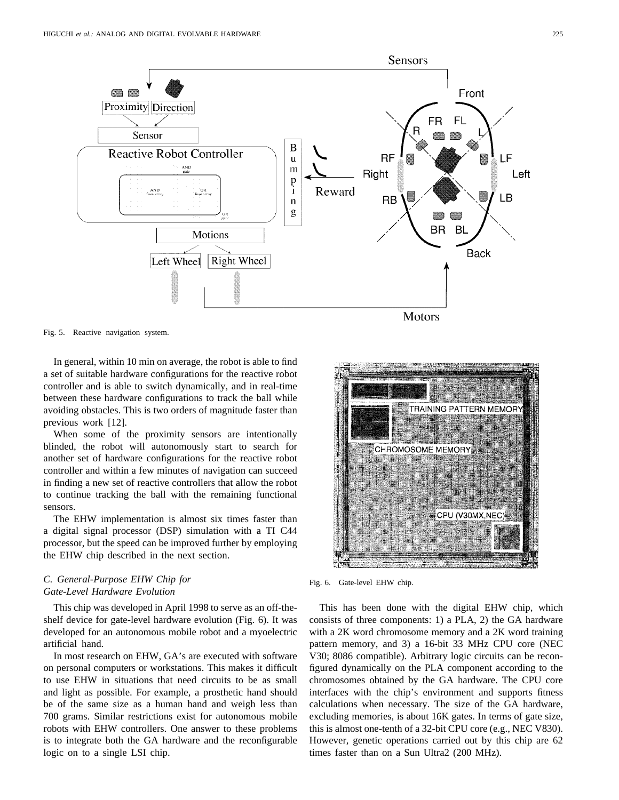

Fig. 5. Reactive navigation system.

In general, within 10 min on average, the robot is able to find a set of suitable hardware configurations for the reactive robot controller and is able to switch dynamically, and in real-time between these hardware configurations to track the ball while avoiding obstacles. This is two orders of magnitude faster than previous work [12].

When some of the proximity sensors are intentionally blinded, the robot will autonomously start to search for another set of hardware configurations for the reactive robot controller and within a few minutes of navigation can succeed in finding a new set of reactive controllers that allow the robot to continue tracking the ball with the remaining functional sensors.

The EHW implementation is almost six times faster than a digital signal processor (DSP) simulation with a TI C44 processor, but the speed can be improved further by employing the EHW chip described in the next section.

# *C. General-Purpose EHW Chip for Gate-Level Hardware Evolution*

This chip was developed in April 1998 to serve as an off-theshelf device for gate-level hardware evolution (Fig. 6). It was developed for an autonomous mobile robot and a myoelectric artificial hand.

In most research on EHW, GA's are executed with software on personal computers or workstations. This makes it difficult to use EHW in situations that need circuits to be as small and light as possible. For example, a prosthetic hand should be of the same size as a human hand and weigh less than 700 grams. Similar restrictions exist for autonomous mobile robots with EHW controllers. One answer to these problems is to integrate both the GA hardware and the reconfigurable logic on to a single LSI chip.



Fig. 6. Gate-level EHW chip.

This has been done with the digital EHW chip, which consists of three components: 1) a PLA, 2) the GA hardware with a 2K word chromosome memory and a 2K word training pattern memory, and 3) a 16-bit 33 MHz CPU core (NEC V30; 8086 compatible). Arbitrary logic circuits can be reconfigured dynamically on the PLA component according to the chromosomes obtained by the GA hardware. The CPU core interfaces with the chip's environment and supports fitness calculations when necessary. The size of the GA hardware, excluding memories, is about 16K gates. In terms of gate size, this is almost one-tenth of a 32-bit CPU core (e.g., NEC V830). However, genetic operations carried out by this chip are 62 times faster than on a Sun Ultra2 (200 MHz).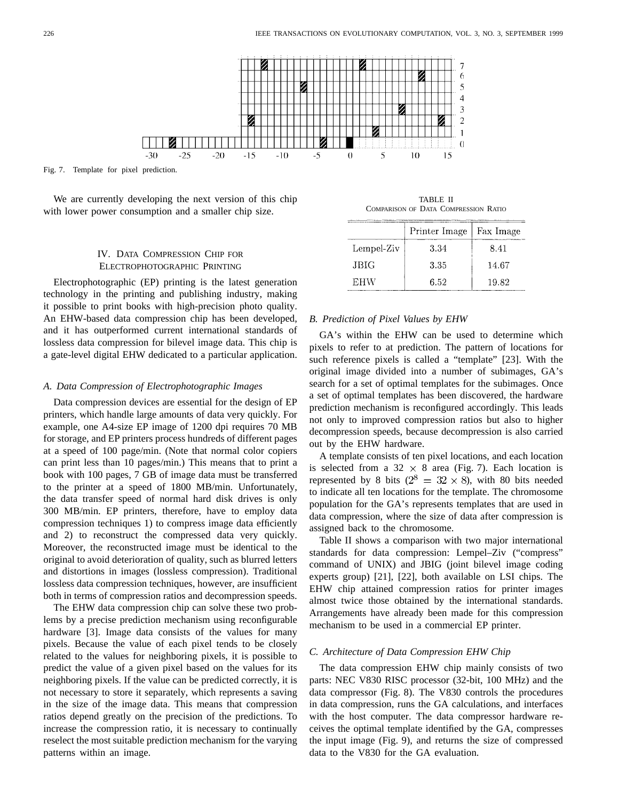

Fig. 7. Template for pixel prediction.

We are currently developing the next version of this chip with lower power consumption and a smaller chip size.

# IV. DATA COMPRESSION CHIP FOR ELECTROPHOTOGRAPHIC PRINTING

Electrophotographic (EP) printing is the latest generation technology in the printing and publishing industry, making it possible to print books with high-precision photo quality. An EHW-based data compression chip has been developed, and it has outperformed current international standards of lossless data compression for bilevel image data. This chip is a gate-level digital EHW dedicated to a particular application.

#### *A. Data Compression of Electrophotographic Images*

Data compression devices are essential for the design of EP printers, which handle large amounts of data very quickly. For example, one A4-size EP image of 1200 dpi requires 70 MB for storage, and EP printers process hundreds of different pages at a speed of 100 page/min. (Note that normal color copiers can print less than 10 pages/min.) This means that to print a book with 100 pages, 7 GB of image data must be transferred to the printer at a speed of 1800 MB/min. Unfortunately, the data transfer speed of normal hard disk drives is only 300 MB/min. EP printers, therefore, have to employ data compression techniques 1) to compress image data efficiently and 2) to reconstruct the compressed data very quickly. Moreover, the reconstructed image must be identical to the original to avoid deterioration of quality, such as blurred letters and distortions in images (lossless compression). Traditional lossless data compression techniques, however, are insufficient both in terms of compression ratios and decompression speeds.

The EHW data compression chip can solve these two problems by a precise prediction mechanism using reconfigurable hardware [3]. Image data consists of the values for many pixels. Because the value of each pixel tends to be closely related to the values for neighboring pixels, it is possible to predict the value of a given pixel based on the values for its neighboring pixels. If the value can be predicted correctly, it is not necessary to store it separately, which represents a saving in the size of the image data. This means that compression ratios depend greatly on the precision of the predictions. To increase the compression ratio, it is necessary to continually reselect the most suitable prediction mechanism for the varying patterns within an image.

TABLE II COMPARISON OF DATA COMPRESSION RATIO

|            | Printer Image | Fax Image |
|------------|---------------|-----------|
| Lempel-Ziv | 3.34          | 8.41      |
| JBIG       | 3.35          | 14.67     |
| EHW        | 6.52          | 19.82     |

#### *B. Prediction of Pixel Values by EHW*

GA's within the EHW can be used to determine which pixels to refer to at prediction. The pattern of locations for such reference pixels is called a "template" [23]. With the original image divided into a number of subimages, GA's search for a set of optimal templates for the subimages. Once a set of optimal templates has been discovered, the hardware prediction mechanism is reconfigured accordingly. This leads not only to improved compression ratios but also to higher decompression speeds, because decompression is also carried out by the EHW hardware.

A template consists of ten pixel locations, and each location is selected from a  $32 \times 8$  area (Fig. 7). Each location is represented by 8 bits ( $2^8 = 32 \times 8$ ), with 80 bits needed to indicate all ten locations for the template. The chromosome population for the GA's represents templates that are used in data compression, where the size of data after compression is assigned back to the chromosome.

Table II shows a comparison with two major international standards for data compression: Lempel–Ziv ("compress" command of UNIX) and JBIG (joint bilevel image coding experts group) [21], [22], both available on LSI chips. The EHW chip attained compression ratios for printer images almost twice those obtained by the international standards. Arrangements have already been made for this compression mechanism to be used in a commercial EP printer.

#### *C. Architecture of Data Compression EHW Chip*

The data compression EHW chip mainly consists of two parts: NEC V830 RISC processor (32-bit, 100 MHz) and the data compressor (Fig. 8). The V830 controls the procedures in data compression, runs the GA calculations, and interfaces with the host computer. The data compressor hardware receives the optimal template identified by the GA, compresses the input image (Fig. 9), and returns the size of compressed data to the V830 for the GA evaluation.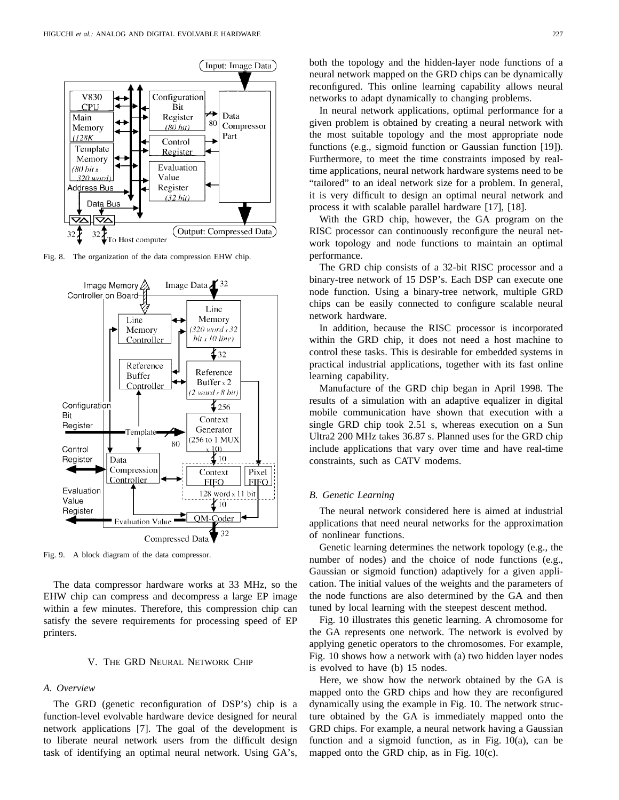

Fig. 8. The organization of the data compression EHW chip.



Fig. 9. A block diagram of the data compressor.

The data compressor hardware works at 33 MHz, so the EHW chip can compress and decompress a large EP image within a few minutes. Therefore, this compression chip can satisfy the severe requirements for processing speed of EP printers.

## V. THE GRD NEURAL NETWORK CHIP

# *A. Overview*

The GRD (genetic reconfiguration of DSP's) chip is a function-level evolvable hardware device designed for neural network applications [7]. The goal of the development is to liberate neural network users from the difficult design task of identifying an optimal neural network. Using GA's, both the topology and the hidden-layer node functions of a neural network mapped on the GRD chips can be dynamically reconfigured. This online learning capability allows neural networks to adapt dynamically to changing problems.

In neural network applications, optimal performance for a given problem is obtained by creating a neural network with the most suitable topology and the most appropriate node functions (e.g., sigmoid function or Gaussian function [19]). Furthermore, to meet the time constraints imposed by realtime applications, neural network hardware systems need to be "tailored" to an ideal network size for a problem. In general, it is very difficult to design an optimal neural network and process it with scalable parallel hardware [17], [18].

With the GRD chip, however, the GA program on the RISC processor can continuously reconfigure the neural network topology and node functions to maintain an optimal performance.

The GRD chip consists of a 32-bit RISC processor and a binary-tree network of 15 DSP's. Each DSP can execute one node function. Using a binary-tree network, multiple GRD chips can be easily connected to configure scalable neural network hardware.

In addition, because the RISC processor is incorporated within the GRD chip, it does not need a host machine to control these tasks. This is desirable for embedded systems in practical industrial applications, together with its fast online learning capability.

Manufacture of the GRD chip began in April 1998. The results of a simulation with an adaptive equalizer in digital mobile communication have shown that execution with a single GRD chip took 2.51 s, whereas execution on a Sun Ultra2 200 MHz takes 36.87 s. Planned uses for the GRD chip include applications that vary over time and have real-time constraints, such as CATV modems.

#### *B. Genetic Learning*

The neural network considered here is aimed at industrial applications that need neural networks for the approximation of nonlinear functions.

Genetic learning determines the network topology (e.g., the number of nodes) and the choice of node functions (e.g., Gaussian or sigmoid function) adaptively for a given application. The initial values of the weights and the parameters of the node functions are also determined by the GA and then tuned by local learning with the steepest descent method.

Fig. 10 illustrates this genetic learning. A chromosome for the GA represents one network. The network is evolved by applying genetic operators to the chromosomes. For example, Fig. 10 shows how a network with (a) two hidden layer nodes is evolved to have (b) 15 nodes.

Here, we show how the network obtained by the GA is mapped onto the GRD chips and how they are reconfigured dynamically using the example in Fig. 10. The network structure obtained by the GA is immediately mapped onto the GRD chips. For example, a neural network having a Gaussian function and a sigmoid function, as in Fig. 10(a), can be mapped onto the GRD chip, as in Fig. 10(c).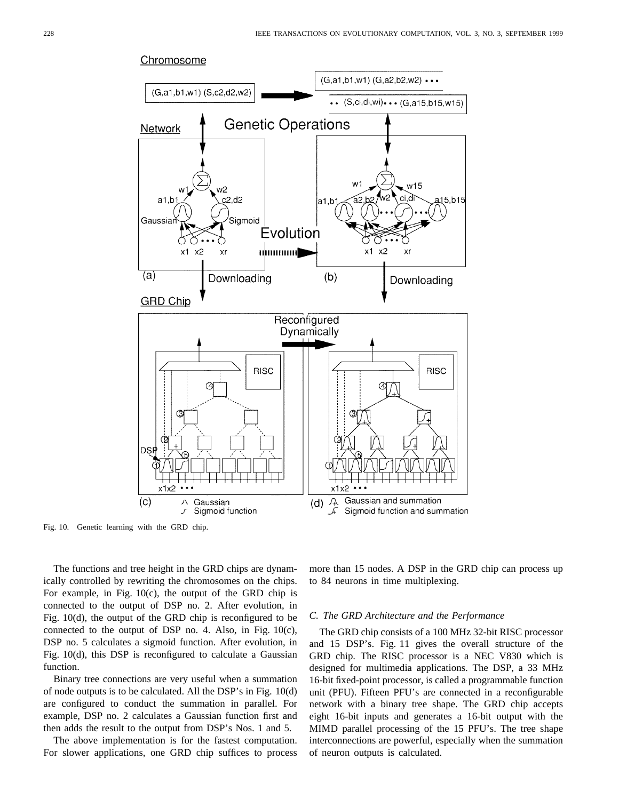

Fig. 10. Genetic learning with the GRD chip.

The functions and tree height in the GRD chips are dynamically controlled by rewriting the chromosomes on the chips. For example, in Fig. 10(c), the output of the GRD chip is connected to the output of DSP no. 2. After evolution, in Fig. 10(d), the output of the GRD chip is reconfigured to be connected to the output of DSP no. 4. Also, in Fig. 10(c), DSP no. 5 calculates a sigmoid function. After evolution, in Fig. 10(d), this DSP is reconfigured to calculate a Gaussian function.

Binary tree connections are very useful when a summation of node outputs is to be calculated. All the DSP's in Fig. 10(d) are configured to conduct the summation in parallel. For example, DSP no. 2 calculates a Gaussian function first and then adds the result to the output from DSP's Nos. 1 and 5.

The above implementation is for the fastest computation. For slower applications, one GRD chip suffices to process more than 15 nodes. A DSP in the GRD chip can process up to 84 neurons in time multiplexing.

## *C. The GRD Architecture and the Performance*

The GRD chip consists of a 100 MHz 32-bit RISC processor and 15 DSP's. Fig. 11 gives the overall structure of the GRD chip. The RISC processor is a NEC V830 which is designed for multimedia applications. The DSP, a 33 MHz 16-bit fixed-point processor, is called a programmable function unit (PFU). Fifteen PFU's are connected in a reconfigurable network with a binary tree shape. The GRD chip accepts eight 16-bit inputs and generates a 16-bit output with the MIMD parallel processing of the 15 PFU's. The tree shape interconnections are powerful, especially when the summation of neuron outputs is calculated.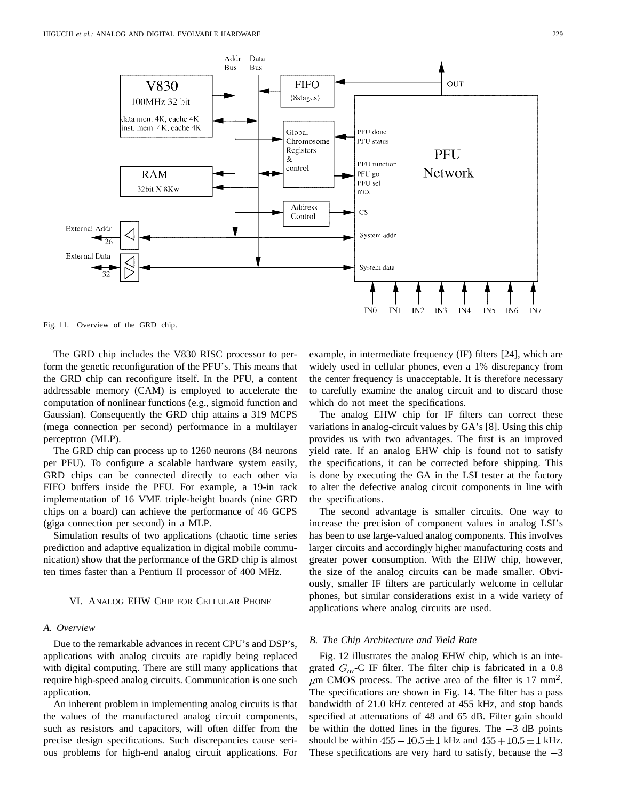

Fig. 11. Overview of the GRD chip.

The GRD chip includes the V830 RISC processor to perform the genetic reconfiguration of the PFU's. This means that the GRD chip can reconfigure itself. In the PFU, a content addressable memory (CAM) is employed to accelerate the computation of nonlinear functions (e.g., sigmoid function and Gaussian). Consequently the GRD chip attains a 319 MCPS (mega connection per second) performance in a multilayer perceptron (MLP).

The GRD chip can process up to 1260 neurons (84 neurons per PFU). To configure a scalable hardware system easily, GRD chips can be connected directly to each other via FIFO buffers inside the PFU. For example, a 19-in rack implementation of 16 VME triple-height boards (nine GRD chips on a board) can achieve the performance of 46 GCPS (giga connection per second) in a MLP.

Simulation results of two applications (chaotic time series prediction and adaptive equalization in digital mobile communication) show that the performance of the GRD chip is almost ten times faster than a Pentium II processor of 400 MHz.

## VI. ANALOG EHW CHIP FOR CELLULAR PHONE

## *A. Overview*

Due to the remarkable advances in recent CPU's and DSP's, applications with analog circuits are rapidly being replaced with digital computing. There are still many applications that require high-speed analog circuits. Communication is one such application.

An inherent problem in implementing analog circuits is that the values of the manufactured analog circuit components, such as resistors and capacitors, will often differ from the precise design specifications. Such discrepancies cause serious problems for high-end analog circuit applications. For example, in intermediate frequency (IF) filters [24], which are widely used in cellular phones, even a 1% discrepancy from the center frequency is unacceptable. It is therefore necessary to carefully examine the analog circuit and to discard those which do not meet the specifications.

The analog EHW chip for IF filters can correct these variations in analog-circuit values by GA's [8]. Using this chip provides us with two advantages. The first is an improved yield rate. If an analog EHW chip is found not to satisfy the specifications, it can be corrected before shipping. This is done by executing the GA in the LSI tester at the factory to alter the defective analog circuit components in line with the specifications.

The second advantage is smaller circuits. One way to increase the precision of component values in analog LSI's has been to use large-valued analog components. This involves larger circuits and accordingly higher manufacturing costs and greater power consumption. With the EHW chip, however, the size of the analog circuits can be made smaller. Obviously, smaller IF filters are particularly welcome in cellular phones, but similar considerations exist in a wide variety of applications where analog circuits are used.

# *B. The Chip Architecture and Yield Rate*

Fig. 12 illustrates the analog EHW chip, which is an integrated  $G_m$ -C IF filter. The filter chip is fabricated in a 0.8  $\mu$ m CMOS process. The active area of the filter is 17 mm<sup>2</sup>. The specifications are shown in Fig. 14. The filter has a pass bandwidth of 21.0 kHz centered at 455 kHz, and stop bands specified at attenuations of 48 and 65 dB. Filter gain should be within the dotted lines in the figures. The  $-3$  dB points should be within  $455 - 10.5 \pm 1$  kHz and  $455 + 10.5 \pm 1$  kHz. These specifications are very hard to satisfy, because the  $-3$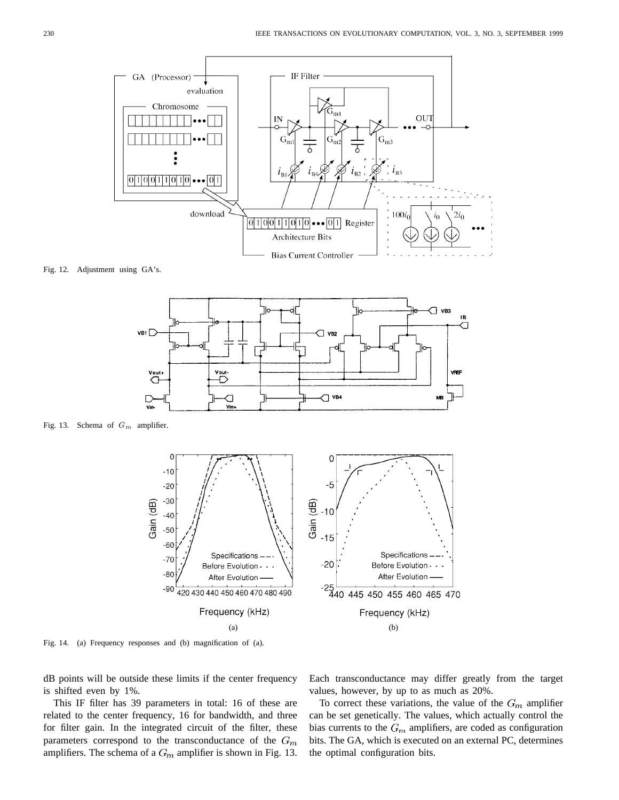

Fig. 12. Adjustment using GA's.



Fig. 13. Schema of  $G_m$  amplifier.



Fig. 14. (a) Frequency responses and (b) magnification of (a).

dB points will be outside these limits if the center frequency is shifted even by 1%.

This IF filter has 39 parameters in total: 16 of these are related to the center frequency, 16 for bandwidth, and three for filter gain. In the integrated circuit of the filter, these parameters correspond to the transconductance of the  $G_m$ amplifiers. The schema of a  ${\cal G}_m$  amplifier is shown in Fig. 13. Each transconductance may differ greatly from the target values, however, by up to as much as 20%.

To correct these variations, the value of the  $G_m$  amplifier can be set genetically. The values, which actually control the bias currents to the  $G_m$  amplifiers, are coded as configuration bits. The GA, which is executed on an external PC, determines the optimal configuration bits.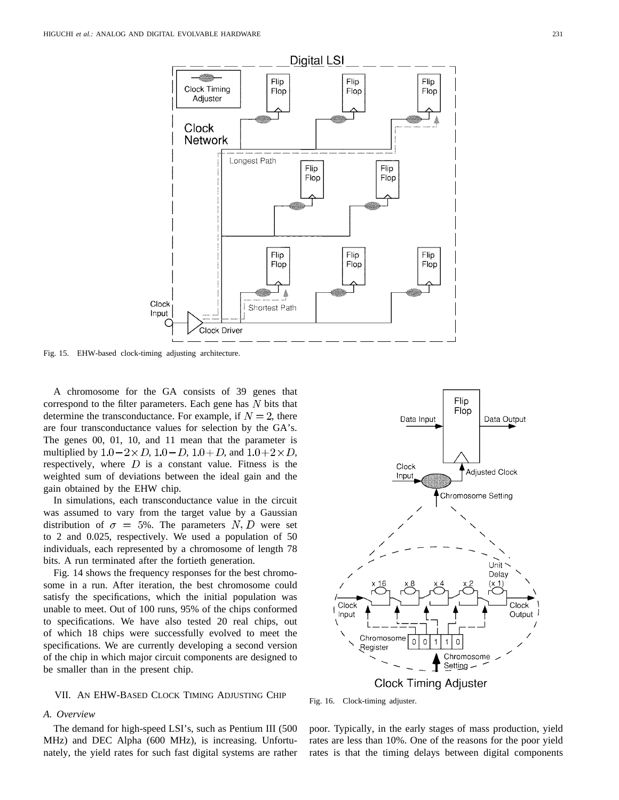

Fig. 15. EHW-based clock-timing adjusting architecture.

A chromosome for the GA consists of 39 genes that correspond to the filter parameters. Each gene has  $N$  bits that determine the transconductance. For example, if  $N = 2$ , there are four transconductance values for selection by the GA's. The genes 00, 01, 10, and 11 mean that the parameter is multiplied by  $1.0 - 2 \times D$ ,  $1.0 - D$ ,  $1.0 + D$ , and  $1.0 + 2 \times D$ , respectively, where  $D$  is a constant value. Fitness is the weighted sum of deviations between the ideal gain and the gain obtained by the EHW chip.

In simulations, each transconductance value in the circuit was assumed to vary from the target value by a Gaussian distribution of  $\sigma = 5\%$ . The parameters N, D were set to 2 and 0.025, respectively. We used a population of 50 individuals, each represented by a chromosome of length 78 bits. A run terminated after the fortieth generation.

Fig. 14 shows the frequency responses for the best chromosome in a run. After iteration, the best chromosome could satisfy the specifications, which the initial population was unable to meet. Out of 100 runs, 95% of the chips conformed to specifications. We have also tested 20 real chips, out of which 18 chips were successfully evolved to meet the specifications. We are currently developing a second version of the chip in which major circuit components are designed to be smaller than in the present chip.

## VII. AN EHW-BASED CLOCK TIMING ADJUSTING CHIP

#### *A. Overview*

The demand for high-speed LSI's, such as Pentium III (500 MHz) and DEC Alpha (600 MHz), is increasing. Unfortunately, the yield rates for such fast digital systems are rather



Fig. 16. Clock-timing adjuster.

poor. Typically, in the early stages of mass production, yield rates are less than 10%. One of the reasons for the poor yield rates is that the timing delays between digital components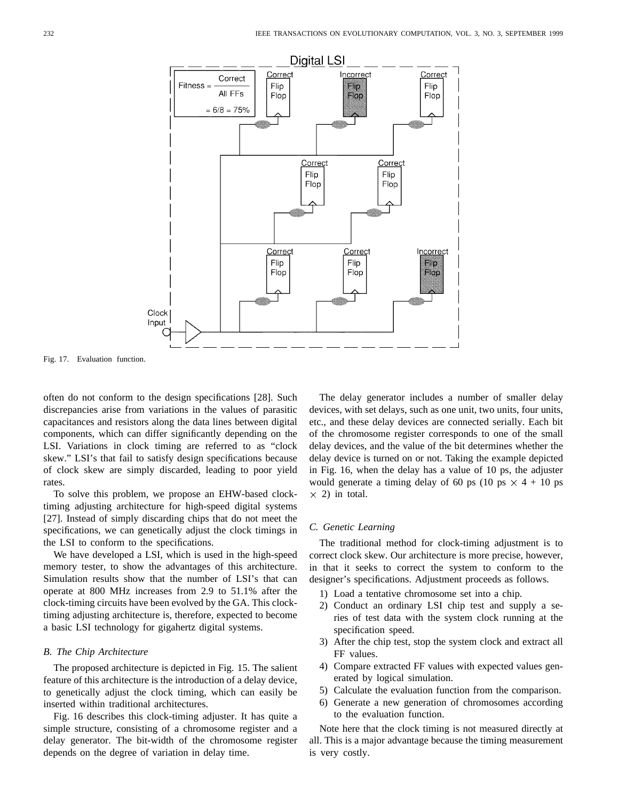

Fig. 17. Evaluation function.

often do not conform to the design specifications [28]. Such discrepancies arise from variations in the values of parasitic capacitances and resistors along the data lines between digital components, which can differ significantly depending on the LSI. Variations in clock timing are referred to as "clock skew." LSI's that fail to satisfy design specifications because of clock skew are simply discarded, leading to poor yield rates.

To solve this problem, we propose an EHW-based clocktiming adjusting architecture for high-speed digital systems [27]. Instead of simply discarding chips that do not meet the specifications, we can genetically adjust the clock timings in the LSI to conform to the specifications.

We have developed a LSI, which is used in the high-speed memory tester, to show the advantages of this architecture. Simulation results show that the number of LSI's that can operate at 800 MHz increases from 2.9 to 51.1% after the clock-timing circuits have been evolved by the GA. This clocktiming adjusting architecture is, therefore, expected to become a basic LSI technology for gigahertz digital systems.

#### *B. The Chip Architecture*

The proposed architecture is depicted in Fig. 15. The salient feature of this architecture is the introduction of a delay device, to genetically adjust the clock timing, which can easily be inserted within traditional architectures.

Fig. 16 describes this clock-timing adjuster. It has quite a simple structure, consisting of a chromosome register and a delay generator. The bit-width of the chromosome register depends on the degree of variation in delay time.

The delay generator includes a number of smaller delay devices, with set delays, such as one unit, two units, four units, etc., and these delay devices are connected serially. Each bit of the chromosome register corresponds to one of the small delay devices, and the value of the bit determines whether the delay device is turned on or not. Taking the example depicted in Fig. 16, when the delay has a value of 10 ps, the adjuster would generate a timing delay of 60 ps (10 ps  $\times$  4 + 10 ps  $\times$  2) in total.

### *C. Genetic Learning*

The traditional method for clock-timing adjustment is to correct clock skew. Our architecture is more precise, however, in that it seeks to correct the system to conform to the designer's specifications. Adjustment proceeds as follows.

- 1) Load a tentative chromosome set into a chip.
- 2) Conduct an ordinary LSI chip test and supply a series of test data with the system clock running at the specification speed.
- 3) After the chip test, stop the system clock and extract all FF values.
- 4) Compare extracted FF values with expected values generated by logical simulation.
- 5) Calculate the evaluation function from the comparison.
- 6) Generate a new generation of chromosomes according to the evaluation function.

Note here that the clock timing is not measured directly at all. This is a major advantage because the timing measurement is very costly.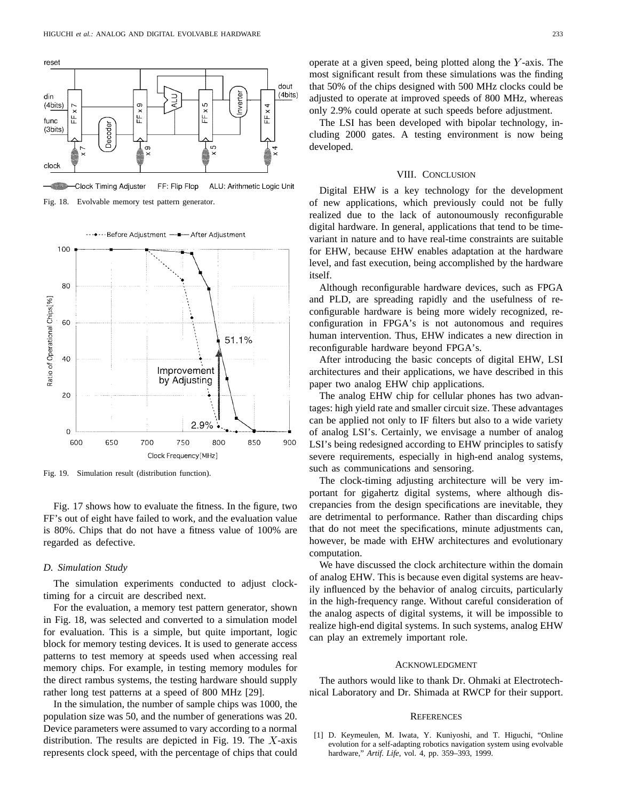

-Clock Timing Adjuster FF: Flip Flop ALU: Arithmetic Logic Unit  $-$ 

Fig. 18. Evolvable memory test pattern generator.



Fig. 19. Simulation result (distribution function).

Fig. 17 shows how to evaluate the fitness. In the figure, two FF's out of eight have failed to work, and the evaluation value is 80%. Chips that do not have a fitness value of 100% are regarded as defective.

### *D. Simulation Study*

The simulation experiments conducted to adjust clocktiming for a circuit are described next.

For the evaluation, a memory test pattern generator, shown in Fig. 18, was selected and converted to a simulation model for evaluation. This is a simple, but quite important, logic block for memory testing devices. It is used to generate access patterns to test memory at speeds used when accessing real memory chips. For example, in testing memory modules for the direct rambus systems, the testing hardware should supply rather long test patterns at a speed of 800 MHz [29].

In the simulation, the number of sample chips was 1000, the population size was 50, and the number of generations was 20. Device parameters were assumed to vary according to a normal distribution. The results are depicted in Fig. 19. The  $X$ -axis represents clock speed, with the percentage of chips that could

operate at a given speed, being plotted along the  $Y$ -axis. The most significant result from these simulations was the finding that 50% of the chips designed with 500 MHz clocks could be adjusted to operate at improved speeds of 800 MHz, whereas only 2.9% could operate at such speeds before adjustment.

The LSI has been developed with bipolar technology, including 2000 gates. A testing environment is now being developed.

#### VIII. CONCLUSION

Digital EHW is a key technology for the development of new applications, which previously could not be fully realized due to the lack of autonoumously reconfigurable digital hardware. In general, applications that tend to be timevariant in nature and to have real-time constraints are suitable for EHW, because EHW enables adaptation at the hardware level, and fast execution, being accomplished by the hardware itself.

Although reconfigurable hardware devices, such as FPGA and PLD, are spreading rapidly and the usefulness of reconfigurable hardware is being more widely recognized, reconfiguration in FPGA's is not autonomous and requires human intervention. Thus, EHW indicates a new direction in reconfigurable hardware beyond FPGA's.

After introducing the basic concepts of digital EHW, LSI architectures and their applications, we have described in this paper two analog EHW chip applications.

The analog EHW chip for cellular phones has two advantages: high yield rate and smaller circuit size. These advantages can be applied not only to IF filters but also to a wide variety of analog LSI's. Certainly, we envisage a number of analog LSI's being redesigned according to EHW principles to satisfy severe requirements, especially in high-end analog systems, such as communications and sensoring.

The clock-timing adjusting architecture will be very important for gigahertz digital systems, where although discrepancies from the design specifications are inevitable, they are detrimental to performance. Rather than discarding chips that do not meet the specifications, minute adjustments can, however, be made with EHW architectures and evolutionary computation.

We have discussed the clock architecture within the domain of analog EHW. This is because even digital systems are heavily influenced by the behavior of analog circuits, particularly in the high-frequency range. Without careful consideration of the analog aspects of digital systems, it will be impossible to realize high-end digital systems. In such systems, analog EHW can play an extremely important role.

#### ACKNOWLEDGMENT

The authors would like to thank Dr. Ohmaki at Electrotechnical Laboratory and Dr. Shimada at RWCP for their support.

#### **REFERENCES**

[1] D. Keymeulen, M. Iwata, Y. Kuniyoshi, and T. Higuchi, "Online evolution for a self-adapting robotics navigation system using evolvable hardware," *Artif. Life,* vol. 4, pp. 359–393, 1999.

---◆---Before Adjustment ---- After Adjustment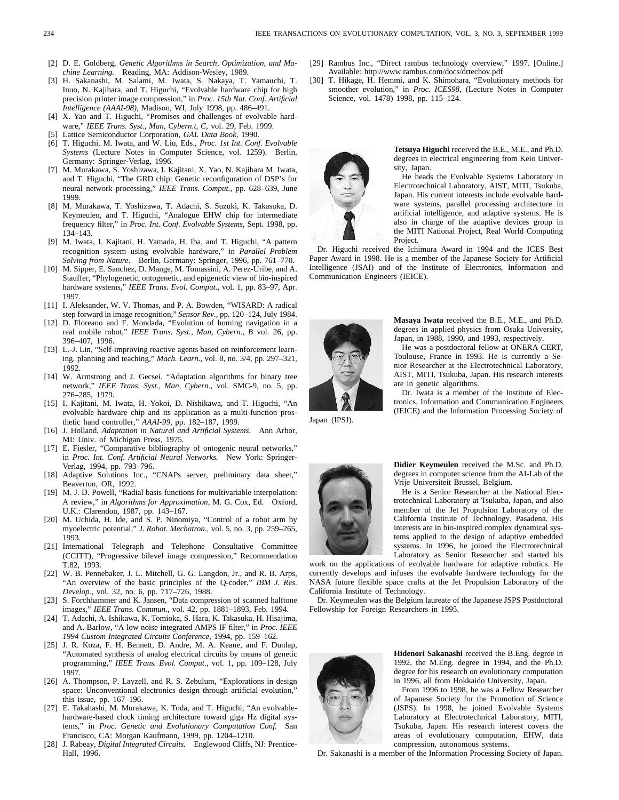- [2] D. E. Goldberg, *Genetic Algorithms in Search, Optimization, and Machine Learning.* Reading, MA: Addison-Wesley, 1989.
- [3] H. Sakanashi, M. Salami, M. Iwata, S. Nakaya, T. Yamauchi, T. Inuo, N. Kajihara, and T. Higuchi, "Evolvable hardware chip for high precision printer image compression," in *Proc. 15th Nat. Conf. Artificial Intelligence (AAAI-98),* Madison, WI, July 1998, pp. 486–491.
- [4] X. Yao and T. Higuchi, "Promises and challenges of evolvable hardware," *IEEE Trans. Syst., Man, Cybern.t, C,* vol. 29, Feb. 1999.
- [5] Lattice Semiconductor Corporation, *GAL Data Book*, 1990.
- [6] T. Higuchi, M. Iwata, and W. Liu, Eds., *Proc. 1st Int. Conf. Evolvable Systems* (Lecture Notes in Computer Science, vol. 1259). Berlin, Germany: Springer-Verlag, 1996.
- [7] M. Murakawa, S. Yoshizawa, I. Kajitani, X. Yao, N. Kajihara M. Iwata, and T. Higuchi, "The GRD chip: Genetic reconfiguration of DSP's for neural network processing," *IEEE Trans. Comput.,* pp. 628–639, June 1999.
- [8] M. Murakawa, T. Yoshizawa, T. Adachi, S. Suzuki, K. Takasuka, D. Keymeulen, and T. Higuchi, "Analogue EHW chip for intermediate frequency filter," in *Proc. Int. Conf. Evolvable Systems,* Sept. 1998, pp. 134–143.
- [9] M. Iwata, I. Kajitani, H. Yamada, H. Iba, and T. Higuchi, "A pattern recognition system using evolvable hardware," in *Parallel Problem Solving from Nature*. Berlin, Germany: Springer, 1996, pp. 761–770.
- [10] M. Sipper, E. Sanchez, D. Mange, M. Tomassini, A. Perez-Uribe, and A. Stauffer, "Phylogenetic, ontogenetic, and epigenetic view of bio-inspired hardware systems," *IEEE Trans. Evol. Comput.,* vol. 1, pp. 83–97, Apr. 1997.
- [11] I. Aleksander, W. V. Thomas, and P. A. Bowden, "WISARD: A radical step forward in image recognition," *Sensor Rev.,* pp. 120–124, July 1984.
- [12] D. Floreano and F. Mondada, "Evolution of homing navigation in a real mobile robot," *IEEE Trans. Syst., Man, Cybern., B* vol. 26, pp. 396–407, 1996.
- [13] L.-J. Lin, "Self-improving reactive agents based on reinforcement learning, planning and teaching," *Mach. Learn.,* vol. 8, no. 3/4, pp. 297–321, 1992.
- [14] W. Armstrong and J. Gecsei, "Adaptation algorithms for binary tree network," *IEEE Trans. Syst., Man, Cybern.,* vol. SMC-9, no. 5, pp. 276–285, 1979.
- [15] I. Kajitani, M. Iwata, H. Yokoi, D. Nishikawa, and T. Higuchi, "An evolvable hardware chip and its application as a multi-function prosthetic hand controller," *AAAI-99*, pp. 182–187, 1999.
- [16] J. Holland, *Adaptation in Natural and Artificial Systems.* Ann Arbor, MI: Univ. of Michigan Press, 1975.
- [17] E. Fiesler, "Comparative bibliography of ontogenic neural networks," in *Proc. Int. Conf. Artificial Neural Networks.* New York: Springer-Verlag, 1994, pp. 793–796.
- [18] Adaptive Solutions Inc., "CNAPs server, preliminary data sheet," Beaverton, OR, 1992.
- [19] M. J. D. Powell, "Radial basis functions for multivariable interpolation: A review," in *Algorithms for Approximation,* M. G. Cox, Ed. Oxford, U.K.: Clarendon, 1987, pp. 143–167.
- [20] M. Uchida, H. Ide, and S. P. Ninomiya, "Control of a robot arm by myoelectric potential," *J. Robot. Mechatron.,* vol. 5, no. 3, pp. 259–265, 1993.
- [21] International Telegraph and Telephone Consultative Committee (CCITT), "Progressive bilevel image compression," Recommendation T.82, 1993.
- [22] W. B. Pennebaker, J. L. Mitchell, G. G. Langdon, Jr., and R. B. Arps, "An overview of the basic principles of the Q-coder," *IBM J. Res. Develop.,* vol. 32, no. 6, pp. 717–726, 1988.
- [23] S. Forchhammer and K. Jansen, "Data compression of scanned halftone images," *IEEE Trans. Commun.,* vol. 42, pp. 1881–1893, Feb. 1994.
- [24] T. Adachi, A. Ishikawa, K. Tomioka, S. Hara, K. Takasuka, H. Hisajima, and A. Barlow, "A low noise integrated AMPS IF filter," in *Proc. IEEE 1994 Custom Integrated Circuits Conference,* 1994, pp. 159–162.
- [25] J. R. Koza, F. H. Bennett, D. Andre, M. A. Keane, and F. Dunlap, "Automated synthesis of analog electrical circuits by means of genetic programming," *IEEE Trans. Evol. Comput.,* vol. 1, pp. 109–128, July 1997.
- [26] A. Thompson, P. Layzell, and R. S. Zebulum, "Explorations in design space: Unconventional electronics design through artificial evolution," this issue, pp. 167–196.
- [27] E. Takahashi, M. Murakawa, K. Toda, and T. Higuchi, "An evolvablehardware-based clock timing architecture toward giga Hz digital systems," in *Proc. Genetic and Evolutionary Computation Conf.* San Francisco, CA: Morgan Kaufmann, 1999, pp. 1204–1210.
- [28] J. Rabeay, *Digital Integrated Circuits.* Englewood Cliffs, NJ: Prentice-Hall, 1996.
- [29] Rambus Inc., "Direct rambus technology overview," 1997. [Online.] Available: http://www.rambus.com/docs/drtechov.pdf
- [30] T. Hikage, H. Hemmi, and K. Shimohara, "Evolutionary methods for smoother evolution," in *Proc. ICES98,* (Lecture Notes in Computer Science, vol. 1478) 1998, pp. 115–124.



**Tetsuya Higuchi** received the B.E., M.E., and Ph.D. degrees in electrical engineering from Keio University, Japan.

He heads the Evolvable Systems Laboratory in Electrotechnical Laboratory, AIST, MITI, Tsukuba, Japan. His current interests include evolvable hardware systems, parallel processing architecture in artificial intelligence, and adaptive systems. He is also in charge of the adaptive devices group in the MITI National Project, Real World Computing Project.

Dr. Higuchi received the Ichimura Award in 1994 and the ICES Best Paper Award in 1998. He is a member of the Japanese Society for Artificial Intelligence (JSAI) and of the Institute of Electronics, Information and Communication Engineers (IEICE).



**Masaya Iwata** received the B.E., M.E., and Ph.D. degrees in applied physics from Osaka University, Japan, in 1988, 1990, and 1993, respectively.

He was a postdoctoral fellow at ONERA-CERT, Toulouse, France in 1993. He is currently a Senior Researcher at the Electrotechnical Laboratory, AIST, MITI, Tsukuba, Japan. His research interests are in genetic algorithms.

Dr. Iwata is a member of the Institute of Electronics, Information and Communication Engineers (IEICE) and the Information Processing Society of

Japan (IPSJ).



**Didier Keymeulen** received the M.Sc. and Ph.D. degrees in computer science from the AI-Lab of the Vrije Universiteit Brussel, Belgium.

He is a Senior Researcher at the National Electrotechnical Laboratory at Tsukuba, Japan, and also member of the Jet Propulsion Laboratory of the California Institute of Technology, Pasadena. His interests are in bio-inspired complex dynamical systems applied to the design of adaptive embedded systems. In 1996, he joined the Electrotechnical Laboratory as Senior Researcher and started his

work on the applications of evolvable hardware for adaptive robotics. He currently develops and infuses the evolvable hardware technology for the NASA future flexible space crafts at the Jet Propulsion Laboratory of the California Institute of Technology.

Dr. Keymeulen was the Belgium laureate of the Japanese JSPS Postdoctoral Fellowship for Foreign Researchers in 1995.



**Hidenori Sakanashi** received the B.Eng. degree in 1992, the M.Eng. degree in 1994, and the Ph.D. degree for his research on evolutionary computation in 1996, all from Hokkaido University, Japan.

From 1996 to 1998, he was a Fellow Researcher of Japanese Society for the Promotion of Science (JSPS). In 1998, he joined Evolvable Systems Laboratory at Electrotechnical Laboratory, MITI, Tsukuba, Japan. His research interest covers the areas of evolutionary computation, EHW, data compression, autonomous systems.

Dr. Sakanashi is a member of the Information Processing Society of Japan.